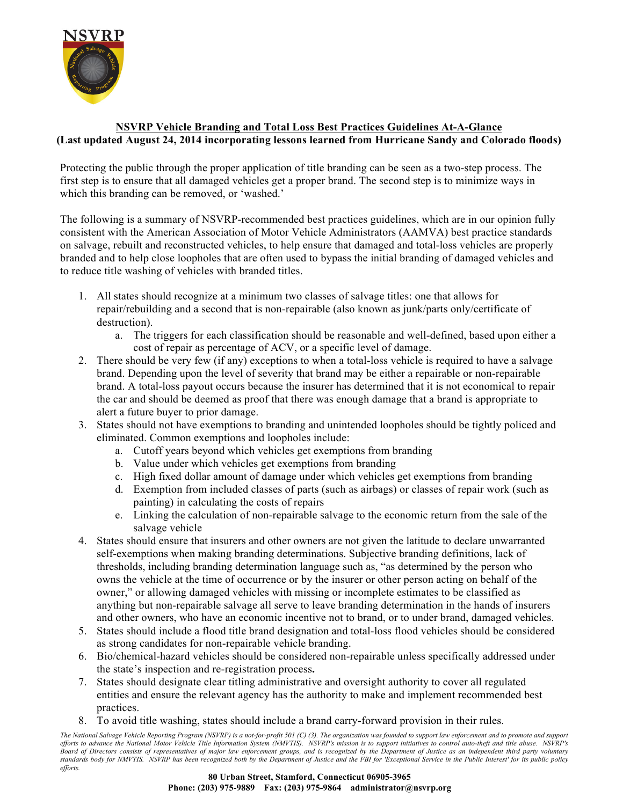

## **NSVRP Vehicle Branding and Total Loss Best Practices Guidelines At-A-Glance (Last updated August 24, 2014 incorporating lessons learned from Hurricane Sandy and Colorado floods)**

Protecting the public through the proper application of title branding can be seen as a two-step process. The first step is to ensure that all damaged vehicles get a proper brand. The second step is to minimize ways in which this branding can be removed, or 'washed.'

The following is a summary of NSVRP-recommended best practices guidelines, which are in our opinion fully consistent with the American Association of Motor Vehicle Administrators (AAMVA) best practice standards on salvage, rebuilt and reconstructed vehicles, to help ensure that damaged and total-loss vehicles are properly branded and to help close loopholes that are often used to bypass the initial branding of damaged vehicles and to reduce title washing of vehicles with branded titles.

- 1. All states should recognize at a minimum two classes of salvage titles: one that allows for repair/rebuilding and a second that is non-repairable (also known as junk/parts only/certificate of destruction).
	- a. The triggers for each classification should be reasonable and well-defined, based upon either a cost of repair as percentage of ACV, or a specific level of damage.
- 2. There should be very few (if any) exceptions to when a total-loss vehicle is required to have a salvage brand. Depending upon the level of severity that brand may be either a repairable or non-repairable brand. A total-loss payout occurs because the insurer has determined that it is not economical to repair the car and should be deemed as proof that there was enough damage that a brand is appropriate to alert a future buyer to prior damage.
- 3. States should not have exemptions to branding and unintended loopholes should be tightly policed and eliminated. Common exemptions and loopholes include:
	- a. Cutoff years beyond which vehicles get exemptions from branding
	- b. Value under which vehicles get exemptions from branding
	- c. High fixed dollar amount of damage under which vehicles get exemptions from branding
	- d. Exemption from included classes of parts (such as airbags) or classes of repair work (such as painting) in calculating the costs of repairs
	- e. Linking the calculation of non-repairable salvage to the economic return from the sale of the salvage vehicle
- 4. States should ensure that insurers and other owners are not given the latitude to declare unwarranted self-exemptions when making branding determinations. Subjective branding definitions, lack of thresholds, including branding determination language such as, "as determined by the person who owns the vehicle at the time of occurrence or by the insurer or other person acting on behalf of the owner," or allowing damaged vehicles with missing or incomplete estimates to be classified as anything but non-repairable salvage all serve to leave branding determination in the hands of insurers and other owners, who have an economic incentive not to brand, or to under brand, damaged vehicles.
- 5. States should include a flood title brand designation and total-loss flood vehicles should be considered as strong candidates for non-repairable vehicle branding.
- 6. Bio/chemical-hazard vehicles should be considered non-repairable unless specifically addressed under the state's inspection and re-registration process**.**
- 7. States should designate clear titling administrative and oversight authority to cover all regulated entities and ensure the relevant agency has the authority to make and implement recommended best practices.
- 8. To avoid title washing, states should include a brand carry-forward provision in their rules.

*The National Salvage Vehicle Reporting Program (NSVRP) is a not-for-profit 501 (C) (3). The organization was founded to support law enforcement and to promote and support efforts to advance the National Motor Vehicle Title Information System (NMVTIS). NSVRP's mission is to support initiatives to control auto-theft and title abuse. NSVRP's Board of Directors consists of representatives of major law enforcement groups, and is recognized by the Department of Justice as an independent third party voluntary standards body for NMVTIS. NSVRP has been recognized both by the Department of Justice and the FBI for 'Exceptional Service in the Public Interest' for its public policy efforts.*